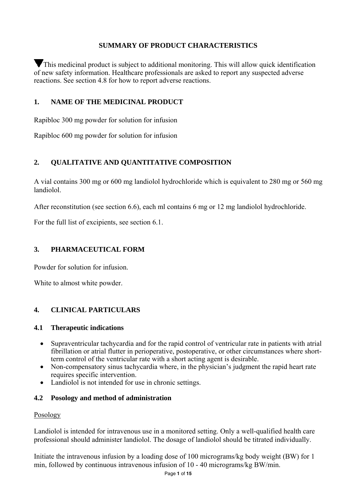## **SUMMARY OF PRODUCT CHARACTERISTICS**

This medicinal product is subject to additional monitoring. This will allow quick identification of new safety information. Healthcare professionals are asked to report any suspected adverse reactions. See section 4.8 for how to report adverse reactions.

## **1. NAME OF THE MEDICINAL PRODUCT**

Rapibloc 300 mg powder for solution for infusion

Rapibloc 600 mg powder for solution for infusion

# **2. QUALITATIVE AND QUANTITATIVE COMPOSITION**

A vial contains 300 mg or 600 mg landiolol hydrochloride which is equivalent to 280 mg or 560 mg landiolol.

After reconstitution (see section 6.6), each ml contains 6 mg or 12 mg landiolol hydrochloride.

For the full list of excipients, see section 6.1.

## **3. PHARMACEUTICAL FORM**

Powder for solution for infusion.

White to almost white powder.

# **4. CLINICAL PARTICULARS**

#### **4.1 Therapeutic indications**

- Supraventricular tachycardia and for the rapid control of ventricular rate in patients with atrial fibrillation or atrial flutter in perioperative, postoperative, or other circumstances where shortterm control of the ventricular rate with a short acting agent is desirable.
- Non-compensatory sinus tachycardia where, in the physician's judgment the rapid heart rate requires specific intervention.
- Landiolol is not intended for use in chronic settings.

## **4.2 Posology and method of administration**

#### Posology

Landiolol is intended for intravenous use in a monitored setting. Only a well-qualified health care professional should administer landiolol. The dosage of landiolol should be titrated individually.

Initiate the intravenous infusion by a loading dose of 100 micrograms/kg body weight (BW) for 1 min, followed by continuous intravenous infusion of 10 - 40 micrograms/kg BW/min.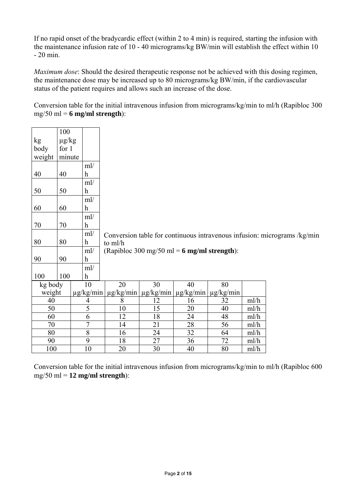If no rapid onset of the bradycardic effect (within 2 to 4 min) is required, starting the infusion with the maintenance infusion rate of 10 - 40 micrograms/kg BW/min will establish the effect within 10 - 20 min.

*Maximum dose*: Should the desired therapeutic response not be achieved with this dosing regimen, the maintenance dose may be increased up to 80 micrograms/kg BW/min, if the cardiovascular status of the patient requires and allows such an increase of the dose.

Conversion table for the initial intravenous infusion from micrograms/kg/min to ml/h (Rapibloc 300 mg/50 ml = **6 mg/ml strength**):

|         | 100        |                |                |                                                                   |    |    |                |      |                                                                          |
|---------|------------|----------------|----------------|-------------------------------------------------------------------|----|----|----------------|------|--------------------------------------------------------------------------|
| kg      | $\mu$ g/kg |                |                |                                                                   |    |    |                |      |                                                                          |
| body    | for 1      |                |                |                                                                   |    |    |                |      |                                                                          |
| weight  | minute     |                |                |                                                                   |    |    |                |      |                                                                          |
|         |            |                | ml/            |                                                                   |    |    |                |      |                                                                          |
| 40      | 40         |                | h              |                                                                   |    |    |                |      |                                                                          |
|         |            |                | ml/            |                                                                   |    |    |                |      |                                                                          |
| 50      | 50         |                | h              |                                                                   |    |    |                |      |                                                                          |
|         |            |                | ml/            |                                                                   |    |    |                |      |                                                                          |
| 60      | 60         |                | h              |                                                                   |    |    |                |      |                                                                          |
|         |            |                | ml/            |                                                                   |    |    |                |      |                                                                          |
| 70      | 70         |                | h              |                                                                   |    |    |                |      |                                                                          |
|         |            |                | ml/            |                                                                   |    |    |                |      | Conversion table for continuous intravenous infusion: micrograms /kg/min |
| 80      | 80         |                | h              | to ml/h                                                           |    |    |                |      |                                                                          |
|         |            |                | ml/            | (Rapibloc 300 mg/50 ml = $6$ mg/ml strength):                     |    |    |                |      |                                                                          |
| 90      | 90         |                | h              |                                                                   |    |    |                |      |                                                                          |
|         |            |                | ml/            |                                                                   |    |    |                |      |                                                                          |
| 100     | 100        |                | h              |                                                                   |    |    |                |      |                                                                          |
| kg body |            |                | 10             | 20                                                                | 30 | 40 | 80             |      |                                                                          |
| weight  |            |                |                | $\mu$ g/kg/min   $\mu$ g/kg/min   $\mu$ g/kg/min   $\mu$ g/kg/min |    |    | $\mu$ g/kg/min |      |                                                                          |
| 40      |            |                | $\overline{4}$ | 8                                                                 | 12 | 16 | 32             | ml/h |                                                                          |
| 50      |            | $\overline{5}$ |                | 10                                                                | 15 | 20 | 40             | ml/h |                                                                          |
| 60      |            | 6              |                | 12                                                                | 18 | 24 | 48             | ml/h |                                                                          |
| 70      |            | $\overline{7}$ |                | 14                                                                | 21 | 28 | 56             | ml/h |                                                                          |
| 80      |            | $8\,$          |                | 16                                                                | 24 | 32 | 64             | ml/h |                                                                          |
| 90      |            |                | 9              | 18                                                                | 27 | 36 | 72             | ml/h |                                                                          |
| 100     |            |                | 10             | 20                                                                | 30 | 40 | 80             | ml/h |                                                                          |

Conversion table for the initial intravenous infusion from micrograms/kg/min to ml/h (Rapibloc 600 mg/50 ml = **12 mg/ml strength**):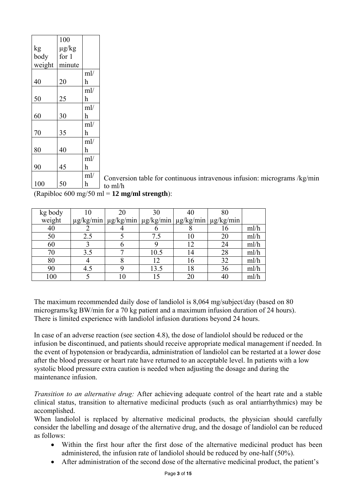|        | 100     |     |         |
|--------|---------|-----|---------|
| kg     | µg/kg   |     |         |
| body   | for $1$ |     |         |
| weight | minute  |     |         |
|        |         | ml/ |         |
| 40     | 20      | h   |         |
|        |         | ml/ |         |
| 50     | 25      | h   |         |
|        |         | ml/ |         |
| 60     | 30      | h   |         |
|        |         | ml/ |         |
| 70     | 35      | h   |         |
|        |         | ml/ |         |
| 80     | 40      | h   |         |
|        |         | ml/ |         |
| 90     | 45      | h   |         |
|        |         | ml/ | Convers |
| 100    | 50      | h   | to ml/h |

Conversion table for continuous intravenous infusion: micrograms /kg/min

(Rapibloc 600 mg/50 ml = **12 mg/ml strength**):

| kg body | 10  | 20 | 30                                                                                 | 40 | 80 |      |
|---------|-----|----|------------------------------------------------------------------------------------|----|----|------|
| weight  |     |    | $\mu$ g/kg/min   $\mu$ g/kg/min   $\mu$ g/kg/min   $\mu$ g/kg/min   $\mu$ g/kg/min |    |    |      |
| 40      |     |    |                                                                                    |    |    | ml/h |
| 50      | 2.5 |    | 7.5                                                                                |    | 20 | ml/h |
| 60      |     |    |                                                                                    | 12 | 24 | ml/h |
| 70      | 3.5 |    | 10.5                                                                               | 14 | 28 | ml/h |
| 80      |     |    | 12                                                                                 | 16 | 32 | ml/h |
| 90      | 4.5 |    | 13.5                                                                               | 18 | 36 | ml/h |
| 100     |     |    |                                                                                    | 20 |    | ml/h |

The maximum recommended daily dose of landiolol is 8,064 mg/subject/day (based on 80 micrograms/kg BW/min for a 70 kg patient and a maximum infusion duration of 24 hours). There is limited experience with landiolol infusion durations beyond 24 hours.

In case of an adverse reaction (see section 4.8), the dose of landiolol should be reduced or the infusion be discontinued, and patients should receive appropriate medical management if needed. In the event of hypotension or bradycardia, administration of landiolol can be restarted at a lower dose after the blood pressure or heart rate have returned to an acceptable level. In patients with a low systolic blood pressure extra caution is needed when adjusting the dosage and during the maintenance infusion.

*Transition to an alternative drug:* After achieving adequate control of the heart rate and a stable clinical status, transition to alternative medicinal products (such as oral antiarrhythmics) may be accomplished.

When landiolol is replaced by alternative medicinal products, the physician should carefully consider the labelling and dosage of the alternative drug, and the dosage of landiolol can be reduced as follows:

- Within the first hour after the first dose of the alternative medicinal product has been administered, the infusion rate of landiolol should be reduced by one-half (50%).
- After administration of the second dose of the alternative medicinal product, the patient's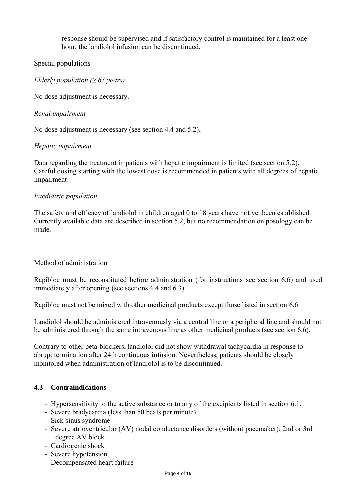response should be supervised and if satisfactory control is maintained for a least one hour, the landiolol infusion can be discontinued.

## Special populations

*Elderly population* ( $\geq 65$  *years*)

No dose adjustment is necessary.

## *Renal impairment*

No dose adjustment is necessary (see section 4.4 and 5.2).

## *Hepatic impairment*

Data regarding the treatment in patients with hepatic impairment is limited (see section 5.2). Careful dosing starting with the lowest dose is recommended in patients with all degrees of hepatic impairment.

## *Paediatric population*

The safety and efficacy of landiolol in children aged 0 to 18 years have not yet been established. Currently available data are described in section 5.2, but no recommendation on posology can be made.

#### Method of administration

Rapibloc must be reconstituted before administration (for instructions see section 6.6) and used immediately after opening (see sections 4.4 and 6.3).

Rapibloc must not be mixed with other medicinal products except those listed in section 6.6.

Landiolol should be administered intravenously via a central line or a peripheral line and should not be administered through the same intravenous line as other medicinal products (see section 6.6).

Contrary to other beta-blockers, landiolol did not show withdrawal tachycardia in response to abrupt termination after 24 h continuous infusion. Nevertheless, patients should be closely monitored when administration of landiolol is to be discontinued.

## **4.3 Contraindications**

- ‐ Hypersensitivity to the active substance or to any of the excipients listed in section 6.1.
- ‐ Severe bradycardia (less than 50 beats per minute)
- ‐ Sick sinus syndrome
- ‐ Severe atrioventricular (AV) nodal conductance disorders (without pacemaker): 2nd or 3rd degree AV block
- ‐ Cardiogenic shock
- ‐ Severe hypotension
- ‐ Decompensated heart failure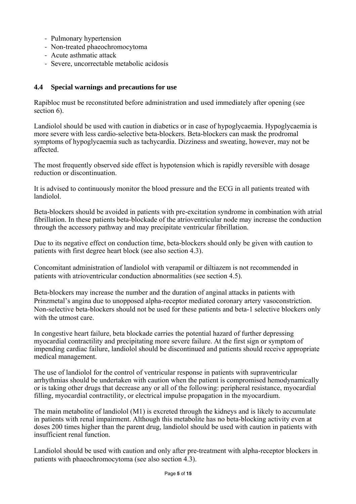- ‐ Pulmonary hypertension
- ‐ Non-treated phaeochromocytoma
- ‐ Acute asthmatic attack
- ‐ Severe, uncorrectable metabolic acidosis

## **4.4 Special warnings and precautions for use**

Rapibloc must be reconstituted before administration and used immediately after opening (see section 6).

Landiolol should be used with caution in diabetics or in case of hypoglycaemia. Hypoglycaemia is more severe with less cardio-selective beta-blockers. Beta-blockers can mask the prodromal symptoms of hypoglycaemia such as tachycardia. Dizziness and sweating, however, may not be affected.

The most frequently observed side effect is hypotension which is rapidly reversible with dosage reduction or discontinuation.

It is advised to continuously monitor the blood pressure and the ECG in all patients treated with landiolol.

Beta-blockers should be avoided in patients with pre-excitation syndrome in combination with atrial fibrillation. In these patients beta-blockade of the atrioventricular node may increase the conduction through the accessory pathway and may precipitate ventricular fibrillation.

Due to its negative effect on conduction time, beta-blockers should only be given with caution to patients with first degree heart block (see also section 4.3).

Concomitant administration of landiolol with verapamil or diltiazem is not recommended in patients with atrioventricular conduction abnormalities (see section 4.5).

Beta-blockers may increase the number and the duration of anginal attacks in patients with Prinzmetal's angina due to unopposed alpha-receptor mediated coronary artery vasoconstriction. Non-selective beta-blockers should not be used for these patients and beta-1 selective blockers only with the utmost care.

In congestive heart failure, beta blockade carries the potential hazard of further depressing myocardial contractility and precipitating more severe failure. At the first sign or symptom of impending cardiac failure, landiolol should be discontinued and patients should receive appropriate medical management.

The use of landiolol for the control of ventricular response in patients with supraventricular arrhythmias should be undertaken with caution when the patient is compromised hemodynamically or is taking other drugs that decrease any or all of the following: peripheral resistance, myocardial filling, myocardial contractility, or electrical impulse propagation in the myocardium.

The main metabolite of landiolol (M1) is excreted through the kidneys and is likely to accumulate in patients with renal impairment. Although this metabolite has no beta-blocking activity even at doses 200 times higher than the parent drug, landiolol should be used with caution in patients with insufficient renal function.

Landiolol should be used with caution and only after pre-treatment with alpha-receptor blockers in patients with phaeochromocytoma (see also section 4.3).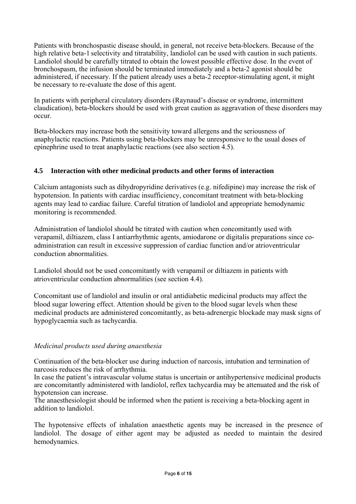Patients with bronchospastic disease should, in general, not receive beta-blockers. Because of the high relative beta-1 selectivity and titratability, landiolol can be used with caution in such patients. Landiolol should be carefully titrated to obtain the lowest possible effective dose. In the event of bronchospasm, the infusion should be terminated immediately and a beta-2 agonist should be administered, if necessary. If the patient already uses a beta-2 receptor-stimulating agent, it might be necessary to re-evaluate the dose of this agent.

In patients with peripheral circulatory disorders (Raynaud's disease or syndrome, intermittent claudication), beta-blockers should be used with great caution as aggravation of these disorders may occur.

Beta-blockers may increase both the sensitivity toward allergens and the seriousness of anaphylactic reactions. Patients using beta-blockers may be unresponsive to the usual doses of epinephrine used to treat anaphylactic reactions (see also section 4.5).

# **4.5 Interaction with other medicinal products and other forms of interaction**

Calcium antagonists such as dihydropyridine derivatives (e.g. nifedipine) may increase the risk of hypotension. In patients with cardiac insufficiency, concomitant treatment with beta-blocking agents may lead to cardiac failure. Careful titration of landiolol and appropriate hemodynamic monitoring is recommended.

Administration of landiolol should be titrated with caution when concomitantly used with verapamil, diltiazem, class I antiarrhythmic agents, amiodarone or digitalis preparations since coadministration can result in excessive suppression of cardiac function and/or atrioventricular conduction abnormalities.

Landiolol should not be used concomitantly with verapamil or diltiazem in patients with atrioventricular conduction abnormalities (see section 4.4).

Concomitant use of landiolol and insulin or oral antidiabetic medicinal products may affect the blood sugar lowering effect. Attention should be given to the blood sugar levels when these medicinal products are administered concomitantly, as beta-adrenergic blockade may mask signs of hypoglycaemia such as tachycardia.

# *Medicinal products used during anaesthesia*

Continuation of the beta-blocker use during induction of narcosis, intubation and termination of narcosis reduces the risk of arrhythmia.

In case the patient's intravascular volume status is uncertain or antihypertensive medicinal products are concomitantly administered with landiolol, reflex tachycardia may be attenuated and the risk of hypotension can increase.

The anaesthesiologist should be informed when the patient is receiving a beta-blocking agent in addition to landiolol.

The hypotensive effects of inhalation anaesthetic agents may be increased in the presence of landiolol. The dosage of either agent may be adjusted as needed to maintain the desired hemodynamics.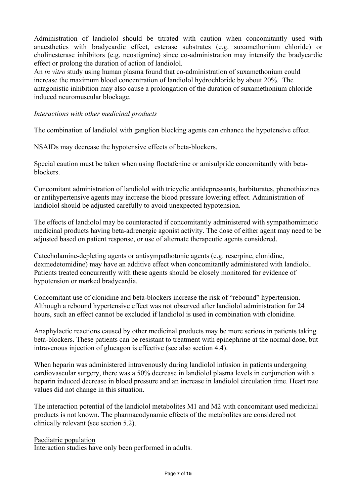Administration of landiolol should be titrated with caution when concomitantly used with anaesthetics with bradycardic effect, esterase substrates (e.g. suxamethonium chloride) or cholinesterase inhibitors (e.g. neostigmine) since co-administration may intensify the bradycardic effect or prolong the duration of action of landiolol.

An *in vitro* study using human plasma found that co-administration of suxamethonium could increase the maximum blood concentration of landiolol hydrochloride by about 20%. The antagonistic inhibition may also cause a prolongation of the duration of suxamethonium chloride induced neuromuscular blockage.

### *Interactions with other medicinal products*

The combination of landiolol with ganglion blocking agents can enhance the hypotensive effect.

NSAIDs may decrease the hypotensive effects of beta-blockers.

Special caution must be taken when using floctafenine or amisulpride concomitantly with betablockers.

Concomitant administration of landiolol with tricyclic antidepressants, barbiturates, phenothiazines or antihypertensive agents may increase the blood pressure lowering effect. Administration of landiolol should be adjusted carefully to avoid unexpected hypotension.

The effects of landiolol may be counteracted if concomitantly administered with sympathomimetic medicinal products having beta-adrenergic agonist activity. The dose of either agent may need to be adjusted based on patient response, or use of alternate therapeutic agents considered.

Catecholamine-depleting agents or antisympathotonic agents (e.g. reserpine, clonidine, dexmedetomidine) may have an additive effect when concomitantly administered with landiolol. Patients treated concurrently with these agents should be closely monitored for evidence of hypotension or marked bradycardia.

Concomitant use of clonidine and beta-blockers increase the risk of "rebound" hypertension. Although a rebound hypertensive effect was not observed after landiolol administration for 24 hours, such an effect cannot be excluded if landiolol is used in combination with clonidine.

Anaphylactic reactions caused by other medicinal products may be more serious in patients taking beta-blockers. These patients can be resistant to treatment with epinephrine at the normal dose, but intravenous injection of glucagon is effective (see also section 4.4).

When heparin was administered intravenously during landiolol infusion in patients undergoing cardiovascular surgery, there was a 50% decrease in landiolol plasma levels in conjunction with a heparin induced decrease in blood pressure and an increase in landiolol circulation time. Heart rate values did not change in this situation.

The interaction potential of the landiolol metabolites M1 and M2 with concomitant used medicinal products is not known. The pharmacodynamic effects of the metabolites are considered not clinically relevant (see section 5.2).

#### Paediatric population

Interaction studies have only been performed in adults.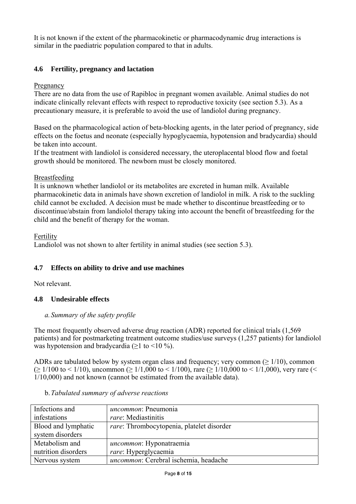It is not known if the extent of the pharmacokinetic or pharmacodynamic drug interactions is similar in the paediatric population compared to that in adults.

# **4.6 Fertility, pregnancy and lactation**

## Pregnancy

There are no data from the use of Rapibloc in pregnant women available. Animal studies do not indicate clinically relevant effects with respect to reproductive toxicity (see section 5.3). As a precautionary measure, it is preferable to avoid the use of landiolol during pregnancy.

Based on the pharmacological action of beta-blocking agents, in the later period of pregnancy, side effects on the foetus and neonate (especially hypoglycaemia, hypotension and bradycardia) should be taken into account.

If the treatment with landiolol is considered necessary, the uteroplacental blood flow and foetal growth should be monitored. The newborn must be closely monitored.

## Breastfeeding

It is unknown whether landiolol or its metabolites are excreted in human milk. Available pharmacokinetic data in animals have shown excretion of landiolol in milk. A risk to the suckling child cannot be excluded. A decision must be made whether to discontinue breastfeeding or to discontinue/abstain from landiolol therapy taking into account the benefit of breastfeeding for the child and the benefit of therapy for the woman.

Fertility

Landiolol was not shown to alter fertility in animal studies (see section 5.3).

# **4.7 Effects on ability to drive and use machines**

Not relevant.

# **4.8 Undesirable effects**

## *a.Summary of the safety profile*

The most frequently observed adverse drug reaction (ADR) reported for clinical trials (1,569 patients) and for postmarketing treatment outcome studies/use surveys (1,257 patients) for landiolol was hypotension and bradycardia ( $\geq$ 1 to <10 %).

ADRs are tabulated below by system organ class and frequency; very common  $(>1/10)$ , common  $( \geq 1/100 \text{ to } 1/10)$ , uncommon ( $\geq 1/1,000 \text{ to } 1/100$ ), rare ( $\geq 1/10,000 \text{ to } 1/1,000$ ), very rare (< 1/10,000) and not known (cannot be estimated from the available data).

| Infections and      | <i>uncommon</i> : Pneumonia                       |
|---------------------|---------------------------------------------------|
| infestations        | rare: Mediastinitis                               |
| Blood and lymphatic | <i>rare</i> : Thrombocytopenia, platelet disorder |
| system disorders    |                                                   |
| Metabolism and      | <i>uncommon</i> : Hyponatraemia                   |
| nutrition disorders | rare: Hyperglycaemia                              |
| Nervous system      | uncommon: Cerebral ischemia, headache             |

b.*Tabulated summary of adverse reactions*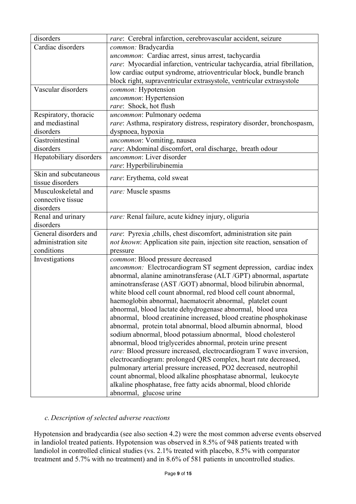| disorders               | rare: Cerebral infarction, cerebrovascular accident, seizure                |
|-------------------------|-----------------------------------------------------------------------------|
| Cardiac disorders       | common: Bradycardia                                                         |
|                         | uncommon: Cardiac arrest, sinus arrest, tachycardia                         |
|                         | rare: Myocardial infarction, ventricular tachycardia, atrial fibrillation,  |
|                         | low cardiac output syndrome, atrioventricular block, bundle branch          |
|                         | block right, supraventricular extrasystole, ventricular extrasystole        |
| Vascular disorders      | common: Hypotension                                                         |
|                         | uncommon: Hypertension                                                      |
|                         | rare: Shock, hot flush                                                      |
| Respiratory, thoracic   | uncommon: Pulmonary oedema                                                  |
| and mediastinal         | rare: Asthma, respiratory distress, respiratory disorder, bronchospasm,     |
| disorders               | dyspnoea, hypoxia                                                           |
| Gastrointestinal        | uncommon: Vomiting, nausea                                                  |
| disorders               | rare: Abdominal discomfort, oral discharge, breath odour                    |
| Hepatobiliary disorders | uncommon: Liver disorder                                                    |
|                         | rare: Hyperbilirubinemia                                                    |
| Skin and subcutaneous   |                                                                             |
| tissue disorders        | rare: Erythema, cold sweat                                                  |
| Musculoskeletal and     | rare: Muscle spasms                                                         |
| connective tissue       |                                                                             |
| disorders               |                                                                             |
| Renal and urinary       | rare: Renal failure, acute kidney injury, oliguria                          |
| disorders               |                                                                             |
| General disorders and   | rare: Pyrexia ,chills, chest discomfort, administration site pain           |
| administration site     | not known: Application site pain, injection site reaction, sensation of     |
| conditions              | pressure                                                                    |
| Investigations          | common: Blood pressure decreased                                            |
|                         | uncommon: Electrocardiogram ST segment depression, cardiac index            |
|                         | abnormal, alanine aminotransferase (ALT/GPT) abnormal, aspartate            |
|                         | aminotransferase (AST /GOT) abnormal, blood bilirubin abnormal,             |
|                         | white blood cell count abnormal, red blood cell count abnormal,             |
|                         | haemoglobin abnormal, haematocrit abnormal, platelet count                  |
|                         | abnormal, blood lactate dehydrogenase abnormal, blood urea                  |
|                         | abnormal, blood creatinine increased, blood creatine phosphokinase          |
|                         | abnormal, protein total abnormal, blood albumin abnormal, blood             |
|                         | sodium abnormal, blood potassium abnormal, blood cholesterol                |
|                         | abnormal, blood triglycerides abnormal, protein urine present               |
|                         | <i>rare</i> : Blood pressure increased, electrocardiogram T wave inversion, |
|                         | electrocardiogram: prolonged QRS complex, heart rate decreased,             |
|                         | pulmonary arterial pressure increased, PO2 decreased, neutrophil            |
|                         | count abnormal, blood alkaline phosphatase abnormal, leukocyte              |
|                         | alkaline phosphatase, free fatty acids abnormal, blood chloride             |
|                         | abnormal, glucose urine                                                     |

# *c. Description of selected adverse reactions*

Hypotension and bradycardia (see also section 4.2) were the most common adverse events observed in landiolol treated patients. Hypotension was observed in 8.5% of 948 patients treated with landiolol in controlled clinical studies (vs. 2.1% treated with placebo, 8.5% with comparator treatment and 5.7% with no treatment) and in 8.6% of 581 patients in uncontrolled studies.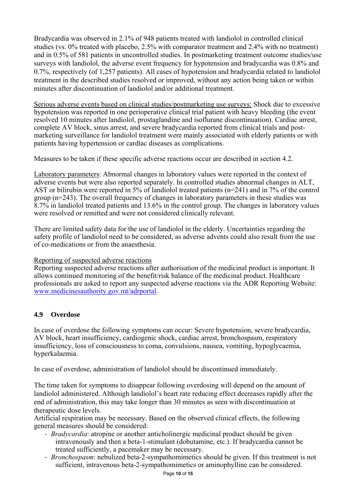Bradycardia was observed in 2.1% of 948 patients treated with landiolol in controlled clinical studies (vs. 0% treated with placebo, 2.5% with comparator treatment and 2.4% with no treatment) and in 0.5% of 581 patients in uncontrolled studies. In postmarketing treatment outcome studies/use surveys with landiolol, the adverse event frequency for hypotension and bradycardia was 0.8% and 0.7%, respectively (of 1,257 patients). All cases of hypotension and bradycardia related to landiolol treatment in the described studies resolved or improved, without any action being taken or within minutes after discontinuation of landiolol and/or additional treatment.

Serious adverse events based on clinical studies/postmarketing use surveys: Shock due to excessive hypotension was reported in one perioperative clinical trial patient with heavy bleeding (the event resolved 10 minutes after landiolol, prostaglandine and isoflurane discontinuation). Cardiac arrest, complete AV block, sinus arrest, and severe bradycardia reported from clinical trials and postmarketing surveillance for landiolol treatment were mainly associated with elderly patients or with patients having hypertension or cardiac diseases as complications.

Measures to be taken if these specific adverse reactions occur are described in section 4.2.

Laboratory parameters: Abnormal changes in laboratory values were reported in the context of adverse events but were also reported separately. In controlled studies abnormal changes in ALT, AST or bilirubin were reported in 5% of landiolol treated patients (n=241) and in 7% of the control group (n=243). The overall frequency of changes in laboratory parameters in these studies was 8.7% in landiolol treated patients and 13.6% in the control group. The changes in laboratory values were resolved or remitted and were not considered clinically relevant.

There are limited safety data for the use of landiolol in the elderly. Uncertainties regarding the safety profile of landiolol need to be considered, as adverse advents could also result from the use of co-medications or from the anaesthesia.

## Reporting of suspected adverse reactions

Reporting suspected adverse reactions after authorisation of the medicinal product is important. It allows continued monitoring of the benefit/risk balance of the medicinal product. Healthcare professionals are asked to report any suspected adverse reactions via the ADR Reporting Website: www.medicinesauthority.gov.mt/adrportal.

# **4.9 Overdose**

In case of overdose the following symptoms can occur: Severe hypotension, severe bradycardia, AV block, heart insufficiency, cardiogenic shock, cardiac arrest, bronchospasm, respiratory insufficiency, loss of consciousness to coma, convulsions, nausea, vomiting, hypoglycaemia, hyperkalaemia.

In case of overdose, administration of landiolol should be discontinued immediately.

The time taken for symptoms to disappear following overdosing will depend on the amount of landiolol administered. Although landiolol's heart rate reducing effect decreases rapidly after the end of administration, this may take longer than 30 minutes as seen with discontinuation at therapeutic dose levels.

Artificial respiration may be necessary. Based on the observed clinical effects, the following general measures should be considered:

- ‐ *Bradycardia*: atropine or another anticholinergic medicinal product should be given intravenously and then a beta-1-stimulant (dobutamine, etc.). If bradycardia cannot be treated sufficiently, a pacemaker may be necessary.
- ‐ *Bronchospasm*: nebulized beta-2-sympathomimetics should be given. If this treatment is not sufficient, intravenous beta-2-sympathomimetics or aminophylline can be considered.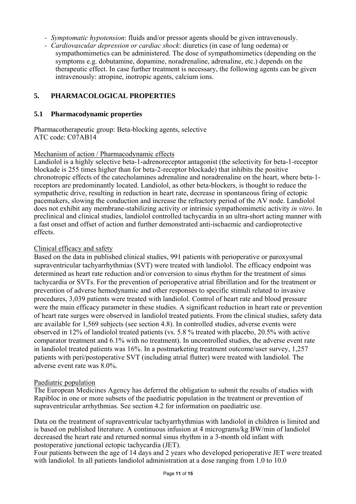- ‐ *Symptomatic hypotension*: fluids and/or pressor agents should be given intravenously.
- ‐ *Cardiovascular depression or cardiac shock*: diuretics (in case of lung oedema) or sympathomimetics can be administered. The dose of sympathomimetics (depending on the symptoms e.g. dobutamine, dopamine, noradrenaline, adrenaline, etc.) depends on the therapeutic effect. In case further treatment is necessary, the following agents can be given intravenously: atropine, inotropic agents, calcium ions.

## **5. PHARMACOLOGICAL PROPERTIES**

#### **5.1 Pharmacodynamic properties**

Pharmacotherapeutic group: Beta-blocking agents, selective ATC code: C07AB14

#### Mechanism of action / Pharmacodynamic effects

Landiolol is a highly selective beta-1-adrenoreceptor antagonist (the selectivity for beta-1-receptor blockade is 255 times higher than for beta-2-receptor blockade) that inhibits the positive chronotropic effects of the catecholamines adrenaline and noradrenaline on the heart, where beta-1 receptors are predominantly located. Landiolol, as other beta-blockers, is thought to reduce the sympathetic drive, resulting in reduction in heart rate, decrease in spontaneous firing of ectopic pacemakers, slowing the conduction and increase the refractory period of the AV node. Landiolol does not exhibit any membrane-stabilizing activity or intrinsic sympathomimetic activity *in vitro*. In preclinical and clinical studies, landiolol controlled tachycardia in an ultra-short acting manner with a fast onset and offset of action and further demonstrated anti-ischaemic and cardioprotective effects.

### Clinical efficacy and safety

Based on the data in published clinical studies, 991 patients with perioperative or paroxysmal supraventricular tachyarrhythmias (SVT) were treated with landiolol. The efficacy endpoint was determined as heart rate reduction and/or conversion to sinus rhythm for the treatment of sinus tachycardia or SVTs. For the prevention of perioperative atrial fibrillation and for the treatment or prevention of adverse hemodynamic and other responses to specific stimuli related to invasive procedures, 3,039 patients were treated with landiolol. Control of heart rate and blood pressure were the main efficacy parameter in these studies. A significant reduction in heart rate or prevention of heart rate surges were observed in landiolol treated patients. From the clinical studies, safety data are available for 1,569 subjects (see section 4.8). In controlled studies, adverse events were observed in 12% of landiolol treated patients (vs. 5.8 % treated with placebo, 20.5% with active comparator treatment and 6.1% with no treatment). In uncontrolled studies, the adverse event rate in landiolol treated patients was 16%. In a postmarketing treatment outcome/user survey, 1,257 patients with peri/postoperative SVT (including atrial flutter) were treated with landiolol. The adverse event rate was 8.0%.

#### Paediatric population

The European Medicines Agency has deferred the obligation to submit the results of studies with Rapibloc in one or more subsets of the paediatric population in the treatment or prevention of supraventricular arrhythmias. See section 4.2 for information on paediatric use.

Data on the treatment of supraventricular tachyarrhythmias with landiolol in children is limited and is based on published literature. A continuous infusion at 4 micrograms/kg BW/min of landiolol decreased the heart rate and returned normal sinus rhythm in a 3-month old infant with postoperative junctional ectopic tachycardia (JET).

Four patients between the age of 14 days and 2 years who developed perioperative JET were treated with landiolol. In all patients landiolol administration at a dose ranging from 1.0 to 10.0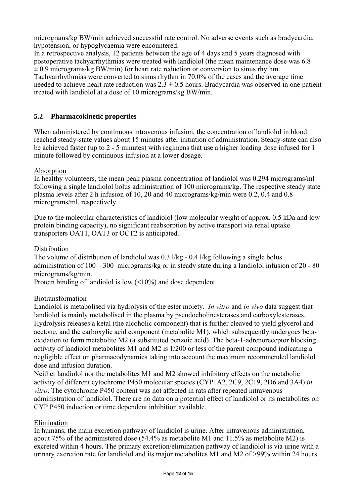micrograms/kg BW/min achieved successful rate control. No adverse events such as bradycardia, hypotension, or hypoglycaemia were encountered.

In a retrospective analysis, 12 patients between the age of 4 days and 5 years diagnosed with postoperative tachyarrhythmias were treated with landiolol (the mean maintenance dose was 6.8  $\pm$  0.9 micrograms/kg BW/min) for heart rate reduction or conversion to sinus rhythm. Tachyarrhythmias were converted to sinus rhythm in 70.0% of the cases and the average time needed to achieve heart rate reduction was  $2.3 \pm 0.5$  hours. Bradycardia was observed in one patient treated with landiolol at a dose of 10 micrograms/kg BW/min.

## **5.2 Pharmacokinetic properties**

When administered by continuous intravenous infusion, the concentration of landiolol in blood reached steady-state values about 15 minutes after initiation of administration. Steady-state can also be achieved faster (up to 2 - 5 minutes) with regimens that use a higher loading dose infused for 1 minute followed by continuous infusion at a lower dosage.

### Absorption

In healthy volunteers, the mean peak plasma concentration of landiolol was 0.294 micrograms/ml following a single landiolol bolus administration of 100 micrograms/kg. The respective steady state plasma levels after 2 h infusion of 10, 20 and 40 micrograms/kg/min were 0.2, 0.4 and 0.8 micrograms/ml, respectively.

Due to the molecular characteristics of landiolol (low molecular weight of approx. 0.5 kDa and low protein binding capacity), no significant reabsorption by active transport via renal uptake transporters OAT1, OAT3 or OCT2 is anticipated.

### Distribution

The volume of distribution of landiolol was 0.3 l/kg - 0.4 l/kg following a single bolus administration of 100 – 300 micrograms/kg or in steady state during a landiolol infusion of 20 - 80 micrograms/kg/min.

Protein binding of landiolol is low  $\left($  <10%) and dose dependent.

## Biotransformation

Landiolol is metabolised via hydrolysis of the ester moiety. *In vitro* and *in vivo* data suggest that landiolol is mainly metabolised in the plasma by pseudocholinesterases and carboxylesterases. Hydrolysis releases a ketal (the alcoholic component) that is further cleaved to yield glycerol and acetone, and the carboxylic acid component (metabolite M1), which subsequently undergoes betaoxidation to form metabolite M2 (a substituted benzoic acid). The beta-1-adrenoreceptor blocking activity of landiolol metabolites M1 and M2 is 1/200 or less of the parent compound indicating a negligible effect on pharmacodynamics taking into account the maximum recommended landiolol dose and infusion duration.

Neither landiolol nor the metabolites M1 and M2 showed inhibitory effects on the metabolic activity of different cytochrome P450 molecular species (CYP1A2, 2C9, 2C19, 2D6 and 3A4) *in vitro*. The cytochrome P450 content was not affected in rats after repeated intravenous administration of landiolol. There are no data on a potential effect of landiolol or its metabolites on CYP P450 induction or time dependent inhibition available.

#### Elimination

In humans, the main excretion pathway of landiolol is urine. After intravenous administration, about 75% of the administered dose (54.4% as metabolite M1 and 11.5% as metabolite M2) is excreted within 4 hours. The primary excretion/elimination pathway of landiolol is via urine with a urinary excretion rate for landiolol and its major metabolites M1 and M2 of >99% within 24 hours.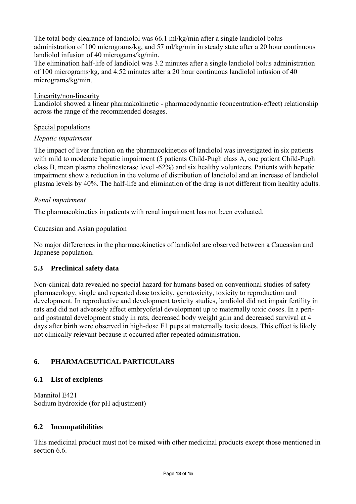The total body clearance of landiolol was 66.1 ml/kg/min after a single landiolol bolus administration of 100 micrograms/kg, and 57 ml/kg/min in steady state after a 20 hour continuous landiolol infusion of 40 microgams/kg/min.

The elimination half-life of landiolol was 3.2 minutes after a single landiolol bolus administration of 100 micrograms/kg, and 4.52 minutes after a 20 hour continuous landiolol infusion of 40 micrograms/kg/min.

## Linearity/non-linearity

Landiolol showed a linear pharmakokinetic - pharmacodynamic (concentration-effect) relationship across the range of the recommended dosages.

### Special populations

### *Hepatic impairment*

The impact of liver function on the pharmacokinetics of landiolol was investigated in six patients with mild to moderate hepatic impairment (5 patients Child-Pugh class A, one patient Child-Pugh class B, mean plasma cholinesterase level -62%) and six healthy volunteers. Patients with hepatic impairment show a reduction in the volume of distribution of landiolol and an increase of landiolol plasma levels by 40%. The half-life and elimination of the drug is not different from healthy adults.

### *Renal impairment*

The pharmacokinetics in patients with renal impairment has not been evaluated.

#### Caucasian and Asian population

No major differences in the pharmacokinetics of landiolol are observed between a Caucasian and Japanese population.

## **5.3 Preclinical safety data**

Non-clinical data revealed no special hazard for humans based on conventional studies of safety pharmacology, single and repeated dose toxicity, genotoxicity, toxicity to reproduction and development. In reproductive and development toxicity studies, landiolol did not impair fertility in rats and did not adversely affect embryofetal development up to maternally toxic doses. In a periand postnatal development study in rats, decreased body weight gain and decreased survival at 4 days after birth were observed in high-dose F1 pups at maternally toxic doses. This effect is likely not clinically relevant because it occurred after repeated administration.

## **6. PHARMACEUTICAL PARTICULARS**

#### **6.1 List of excipients**

Mannitol E421 Sodium hydroxide (for pH adjustment)

#### **6.2 Incompatibilities**

This medicinal product must not be mixed with other medicinal products except those mentioned in section 6.6.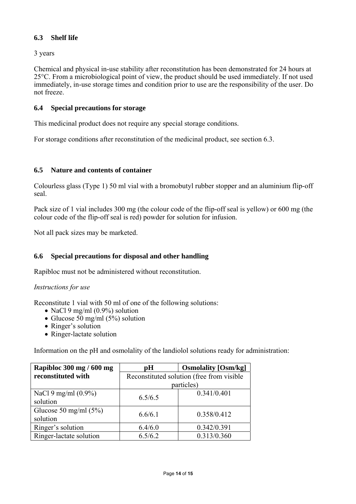## **6.3 Shelf life**

3 years

Chemical and physical in-use stability after reconstitution has been demonstrated for 24 hours at 25°C. From a microbiological point of view, the product should be used immediately. If not used immediately, in-use storage times and condition prior to use are the responsibility of the user. Do not freeze.

### **6.4 Special precautions for storage**

This medicinal product does not require any special storage conditions.

For storage conditions after reconstitution of the medicinal product, see section 6.3.

## **6.5 Nature and contents of container**

Colourless glass (Type 1) 50 ml vial with a bromobutyl rubber stopper and an aluminium flip-off seal.

Pack size of 1 vial includes 300 mg (the colour code of the flip-off seal is yellow) or 600 mg (the colour code of the flip-off seal is red) powder for solution for infusion.

Not all pack sizes may be marketed.

## **6.6 Special precautions for disposal and other handling**

Rapibloc must not be administered without reconstitution.

#### *Instructions for use*

Reconstitute 1 vial with 50 ml of one of the following solutions:

- NaCl 9 mg/ml  $(0.9\%)$  solution
- Glucose  $50 \text{ mg/ml}$  (5%) solution
- Ringer's solution
- Ringer-lactate solution

Information on the pH and osmolality of the landiolol solutions ready for administration:

| Rapibloc 300 mg / 600 mg | рH                                        | <b>Osmolality</b> [Osm/kg] |  |
|--------------------------|-------------------------------------------|----------------------------|--|
| reconstituted with       | Reconstituted solution (free from visible |                            |  |
|                          | particles)                                |                            |  |
| NaCl 9 mg/ml $(0.9\%)$   | 6.5/6.5                                   | 0.341/0.401                |  |
| solution                 |                                           |                            |  |
| Glucose 50 mg/ml $(5\%)$ | 6.6/6.1                                   | 0.358/0.412                |  |
| solution                 |                                           |                            |  |
| Ringer's solution        | 6.4/6.0                                   | 0.342/0.391                |  |
| Ringer-lactate solution  | 6.5/6.2                                   | 0.313/0.360                |  |